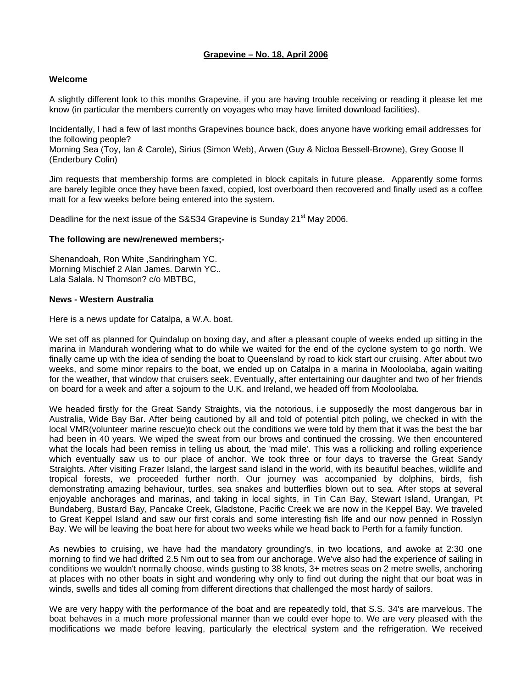# **Grapevine – No. 18, April 2006**

# **Welcome**

A slightly different look to this months Grapevine, if you are having trouble receiving or reading it please let me know (in particular the members currently on voyages who may have limited download facilities).

Incidentally, I had a few of last months Grapevines bounce back, does anyone have working email addresses for the following people?

Morning Sea (Toy, Ian & Carole), Sirius (Simon Web), Arwen (Guy & Nicloa Bessell-Browne), Grey Goose II (Enderbury Colin)

Jim requests that membership forms are completed in block capitals in future please. Apparently some forms are barely legible once they have been faxed, copied, lost overboard then recovered and finally used as a coffee matt for a few weeks before being entered into the system.

Deadline for the next issue of the S&S34 Grapevine is Sunday 21<sup>st</sup> May 2006.

### **The following are new/renewed members;-**

Shenandoah, Ron White ,Sandringham YC. Morning Mischief 2 Alan James. Darwin YC.. Lala Salala. N Thomson? c/o MBTBC,

### **News - Western Australia**

Here is a news update for Catalpa, a W.A. boat.

We set off as planned for Quindalup on boxing day, and after a pleasant couple of weeks ended up sitting in the marina in Mandurah wondering what to do while we waited for the end of the cyclone system to go north. We finally came up with the idea of sending the boat to Queensland by road to kick start our cruising. After about two weeks, and some minor repairs to the boat, we ended up on Catalpa in a marina in Mooloolaba, again waiting for the weather, that window that cruisers seek. Eventually, after entertaining our daughter and two of her friends on board for a week and after a sojourn to the U.K. and Ireland, we headed off from Mooloolaba.

We headed firstly for the Great Sandy Straights, via the notorious, i.e supposedly the most dangerous bar in Australia, Wide Bay Bar. After being cautioned by all and told of potential pitch poling, we checked in with the local VMR(volunteer marine rescue)to check out the conditions we were told by them that it was the best the bar had been in 40 years. We wiped the sweat from our brows and continued the crossing. We then encountered what the locals had been remiss in telling us about, the 'mad mile'. This was a rollicking and rolling experience which eventually saw us to our place of anchor. We took three or four days to traverse the Great Sandy Straights. After visiting Frazer Island, the largest sand island in the world, with its beautiful beaches, wildlife and tropical forests, we proceeded further north. Our journey was accompanied by dolphins, birds, fish demonstrating amazing behaviour, turtles, sea snakes and butterflies blown out to sea. After stops at several enjoyable anchorages and marinas, and taking in local sights, in Tin Can Bay, Stewart Island, Urangan, Pt Bundaberg, Bustard Bay, Pancake Creek, Gladstone, Pacific Creek we are now in the Keppel Bay. We traveled to Great Keppel Island and saw our first corals and some interesting fish life and our now penned in Rosslyn Bay. We will be leaving the boat here for about two weeks while we head back to Perth for a family function.

As newbies to cruising, we have had the mandatory grounding's, in two locations, and awoke at 2:30 one morning to find we had drifted 2.5 Nm out to sea from our anchorage. We've also had the experience of sailing in conditions we wouldn't normally choose, winds gusting to 38 knots, 3+ metres seas on 2 metre swells, anchoring at places with no other boats in sight and wondering why only to find out during the night that our boat was in winds, swells and tides all coming from different directions that challenged the most hardy of sailors.

We are very happy with the performance of the boat and are repeatedly told, that S.S. 34's are marvelous. The boat behaves in a much more professional manner than we could ever hope to. We are very pleased with the modifications we made before leaving, particularly the electrical system and the refrigeration. We received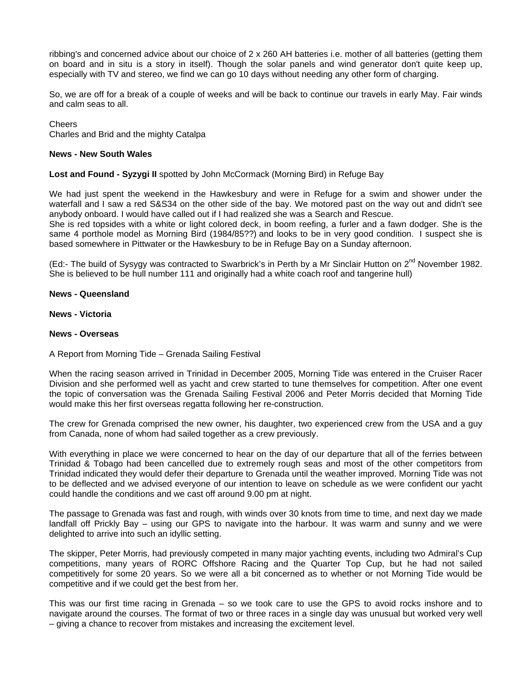ribbing's and concerned advice about our choice of 2 x 260 AH batteries i.e. mother of all batteries (getting them on board and in situ is a story in itself). Though the solar panels and wind generator don't quite keep up, especially with TV and stereo, we find we can go 10 days without needing any other form of charging.

So, we are off for a break of a couple of weeks and will be back to continue our travels in early May. Fair winds and calm seas to all.

Cheers

Charles and Brid and the mighty Catalpa

### **News - New South Wales**

**Lost and Found - Syzygi II** spotted by John McCormack (Morning Bird) in Refuge Bay

We had just spent the weekend in the Hawkesbury and were in Refuge for a swim and shower under the waterfall and I saw a red S&S34 on the other side of the bay. We motored past on the way out and didn't see anybody onboard. I would have called out if I had realized she was a Search and Rescue.

She is red topsides with a white or light colored deck, in boom reefing, a furler and a fawn dodger. She is the same 4 porthole model as Morning Bird (1984/85??) and looks to be in very good condition. I suspect she is based somewhere in Pittwater or the Hawkesbury to be in Refuge Bay on a Sunday afternoon.

(Ed:- The build of Sysygy was contracted to Swarbrick's in Perth by a Mr Sinclair Hutton on  $2^{nd}$  November 1982. She is believed to be hull number 111 and originally had a white coach roof and tangerine hull)

**News - Queensland** 

**News - Victoria** 

### **News - Overseas**

A Report from Morning Tide – Grenada Sailing Festival

When the racing season arrived in Trinidad in December 2005, Morning Tide was entered in the Cruiser Racer Division and she performed well as yacht and crew started to tune themselves for competition. After one event the topic of conversation was the Grenada Sailing Festival 2006 and Peter Morris decided that Morning Tide would make this her first overseas regatta following her re-construction.

The crew for Grenada comprised the new owner, his daughter, two experienced crew from the USA and a guy from Canada, none of whom had sailed together as a crew previously.

With everything in place we were concerned to hear on the day of our departure that all of the ferries between Trinidad & Tobago had been cancelled due to extremely rough seas and most of the other competitors from Trinidad indicated they would defer their departure to Grenada until the weather improved. Morning Tide was not to be deflected and we advised everyone of our intention to leave on schedule as we were confident our yacht could handle the conditions and we cast off around 9.00 pm at night.

The passage to Grenada was fast and rough, with winds over 30 knots from time to time, and next day we made landfall off Prickly Bay – using our GPS to navigate into the harbour. It was warm and sunny and we were delighted to arrive into such an idyllic setting.

The skipper, Peter Morris, had previously competed in many major yachting events, including two Admiral's Cup competitions, many years of RORC Offshore Racing and the Quarter Top Cup, but he had not sailed competitively for some 20 years. So we were all a bit concerned as to whether or not Morning Tide would be competitive and if we could get the best from her.

This was our first time racing in Grenada – so we took care to use the GPS to avoid rocks inshore and to navigate around the courses. The format of two or three races in a single day was unusual but worked very well – giving a chance to recover from mistakes and increasing the excitement level.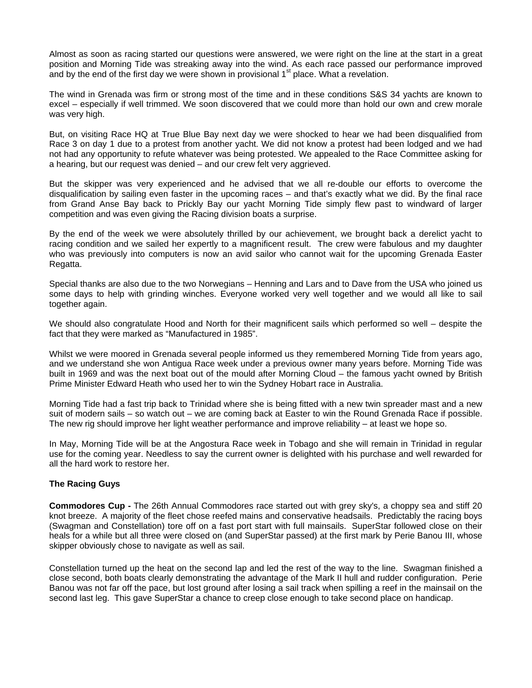Almost as soon as racing started our questions were answered, we were right on the line at the start in a great position and Morning Tide was streaking away into the wind. As each race passed our performance improved and by the end of the first day we were shown in provisional  $1<sup>st</sup>$  place. What a revelation.

The wind in Grenada was firm or strong most of the time and in these conditions S&S 34 yachts are known to excel – especially if well trimmed. We soon discovered that we could more than hold our own and crew morale was very high.

But, on visiting Race HQ at True Blue Bay next day we were shocked to hear we had been disqualified from Race 3 on day 1 due to a protest from another yacht. We did not know a protest had been lodged and we had not had any opportunity to refute whatever was being protested. We appealed to the Race Committee asking for a hearing, but our request was denied – and our crew felt very aggrieved.

But the skipper was very experienced and he advised that we all re-double our efforts to overcome the disqualification by sailing even faster in the upcoming races – and that's exactly what we did. By the final race from Grand Anse Bay back to Prickly Bay our yacht Morning Tide simply flew past to windward of larger competition and was even giving the Racing division boats a surprise.

By the end of the week we were absolutely thrilled by our achievement, we brought back a derelict yacht to racing condition and we sailed her expertly to a magnificent result. The crew were fabulous and my daughter who was previously into computers is now an avid sailor who cannot wait for the upcoming Grenada Easter Regatta.

Special thanks are also due to the two Norwegians – Henning and Lars and to Dave from the USA who joined us some days to help with grinding winches. Everyone worked very well together and we would all like to sail together again.

We should also congratulate Hood and North for their magnificent sails which performed so well – despite the fact that they were marked as "Manufactured in 1985".

Whilst we were moored in Grenada several people informed us they remembered Morning Tide from years ago, and we understand she won Antigua Race week under a previous owner many years before. Morning Tide was built in 1969 and was the next boat out of the mould after Morning Cloud – the famous yacht owned by British Prime Minister Edward Heath who used her to win the Sydney Hobart race in Australia.

Morning Tide had a fast trip back to Trinidad where she is being fitted with a new twin spreader mast and a new suit of modern sails – so watch out – we are coming back at Easter to win the Round Grenada Race if possible. The new rig should improve her light weather performance and improve reliability – at least we hope so.

In May, Morning Tide will be at the Angostura Race week in Tobago and she will remain in Trinidad in regular use for the coming year. Needless to say the current owner is delighted with his purchase and well rewarded for all the hard work to restore her.

# **The Racing Guys**

**Commodores Cup -** The 26th Annual Commodores race started out with grey sky's, a choppy sea and stiff 20 knot breeze. A majority of the fleet chose reefed mains and conservative headsails. Predictably the racing boys (Swagman and Constellation) tore off on a fast port start with full mainsails. SuperStar followed close on their heals for a while but all three were closed on (and SuperStar passed) at the first mark by Perie Banou III, whose skipper obviously chose to navigate as well as sail.

Constellation turned up the heat on the second lap and led the rest of the way to the line. Swagman finished a close second, both boats clearly demonstrating the advantage of the Mark II hull and rudder configuration. Perie Banou was not far off the pace, but lost ground after losing a sail track when spilling a reef in the mainsail on the second last leg. This gave SuperStar a chance to creep close enough to take second place on handicap.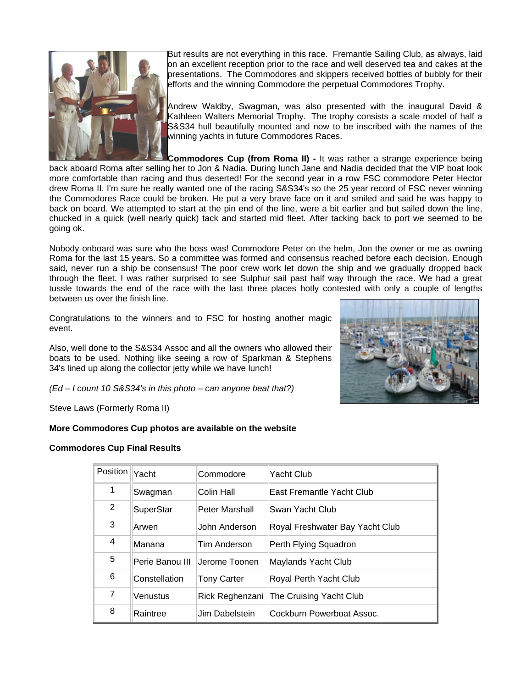

But results are not everything in this race. Fremantle Sailing Club, as always, laid on an excellent reception prior to the race and well deserved tea and cakes at the presentations. The Commodores and skippers received bottles of bubbly for their efforts and the winning Commodore the perpetual Commodores Trophy.

Andrew Waldby, Swagman, was also presented with the inaugural David & Kathleen Walters Memorial Trophy. The trophy consists a scale model of half a S&S34 hull beautifully mounted and now to be inscribed with the names of the winning yachts in future Commodores Races.

**Commodores Cup (from Roma II) -** It was rather a strange experience being back aboard Roma after selling her to Jon & Nadia. During lunch Jane and Nadia decided that the VIP boat look more comfortable than racing and thus deserted! For the second year in a row FSC commodore Peter Hector drew Roma II. I'm sure he really wanted one of the racing S&S34's so the 25 year record of FSC never winning the Commodores Race could be broken. He put a very brave face on it and smiled and said he was happy to back on board. We attempted to start at the pin end of the line, were a bit earlier and but sailed down the line, chucked in a quick (well nearly quick) tack and started mid fleet. After tacking back to port we seemed to be going ok.

Nobody onboard was sure who the boss was! Commodore Peter on the helm, Jon the owner or me as owning Roma for the last 15 years. So a committee was formed and consensus reached before each decision. Enough said, never run a ship be consensus! The poor crew work let down the ship and we gradually dropped back through the fleet. I was rather surprised to see Sulphur sail past half way through the race. We had a great tussle towards the end of the race with the last three places hotly contested with only a couple of lengths between us over the finish line.

Congratulations to the winners and to FSC for hosting another magic event.

Also, well done to the S&S34 Assoc and all the owners who allowed their boats to be used. Nothing like seeing a row of Sparkman & Stephens 34's lined up along the collector jetty while we have lunch!



*(Ed – I count 10 S&S34's in this photo – can anyone beat that?)*

Steve Laws (Formerly Roma II)

# **More Commodores Cup photos are available on the website**

# **Commodores Cup Final Results**

| Position       | Yacht            | Commodore          | Yacht Club                              |
|----------------|------------------|--------------------|-----------------------------------------|
| 1              | Swagman          | Colin Hall         | East Fremantle Yacht Club               |
| $\overline{2}$ | <b>SuperStar</b> | Peter Marshall     | Swan Yacht Club                         |
| 3              | Arwen            | John Anderson      | Royal Freshwater Bay Yacht Club         |
| 4              | Manana           | Tim Anderson       | Perth Flying Squadron                   |
| 5              | Perie Banou III  | Jerome Toonen      | Maylands Yacht Club                     |
| 6              | Constellation    | <b>Tony Carter</b> | Royal Perth Yacht Club                  |
| $\overline{7}$ | Venustus         |                    | Rick Reghenzani The Cruising Yacht Club |
| 8              | Raintree         | Jim Dabelstein     | Cockburn Powerboat Assoc.               |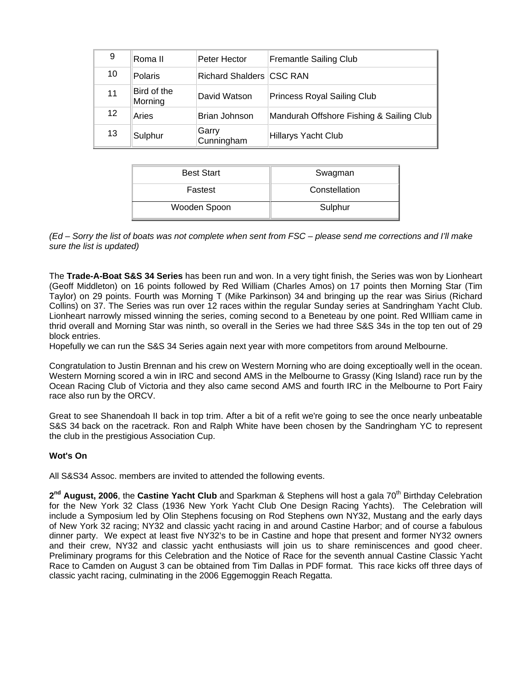| 9  | Roma II                | Peter Hector                    | <b>Fremantle Sailing Club</b>            |
|----|------------------------|---------------------------------|------------------------------------------|
| 10 | Polaris                | <b>Richard Shalders CSC RAN</b> |                                          |
| 11 | Bird of the<br>Morning | David Watson                    | <b>Princess Royal Sailing Club</b>       |
| 12 | Aries                  | Brian Johnson                   | Mandurah Offshore Fishing & Sailing Club |
| 13 | Sulphur                | Garry<br>Cunningham             | Hillarys Yacht Club                      |

| <b>Best Start</b> | Swagman       |
|-------------------|---------------|
| Fastest           | Constellation |
| Wooden Spoon      | Sulphur       |

*(Ed – Sorry the list of boats was not complete when sent from FSC – please send me corrections and I'll make sure the list is updated)* 

The **Trade-A-Boat S&S 34 Series** has been run and won. In a very tight finish, the Series was won by Lionheart (Geoff Middleton) on 16 points followed by Red William (Charles Amos) on 17 points then Morning Star (Tim Taylor) on 29 points. Fourth was Morning T (Mike Parkinson) 34 and bringing up the rear was Sirius (Richard Collins) on 37. The Series was run over 12 races within the regular Sunday series at Sandringham Yacht Club. Lionheart narrowly missed winning the series, coming second to a Beneteau by one point. Red WIlliam came in thrid overall and Morning Star was ninth, so overall in the Series we had three S&S 34s in the top ten out of 29 block entries.

Hopefully we can run the S&S 34 Series again next year with more competitors from around Melbourne.

Congratulation to Justin Brennan and his crew on Western Morning who are doing exceptioally well in the ocean. Western Morning scored a win in IRC and second AMS in the Melbourne to Grassy (King Island) race run by the Ocean Racing Club of Victoria and they also came second AMS and fourth IRC in the Melbourne to Port Fairy race also run by the ORCV.

Great to see Shanendoah II back in top trim. After a bit of a refit we're going to see the once nearly unbeatable S&S 34 back on the racetrack. Ron and Ralph White have been chosen by the Sandringham YC to represent the club in the prestigious Association Cup.

# **Wot's On**

All S&S34 Assoc. members are invited to attended the following events.

2<sup>nd</sup> August, 2006, the Castine Yacht Club and Sparkman & Stephens will host a gala 70<sup>th</sup> Birthday Celebration for the New York 32 Class (1936 New York Yacht Club One Design Racing Yachts). The Celebration will include a Symposium led by Olin Stephens focusing on Rod Stephens own NY32, Mustang and the early days of New York 32 racing; NY32 and classic yacht racing in and around Castine Harbor; and of course a fabulous dinner party. We expect at least five NY32's to be in Castine and hope that present and former NY32 owners and their crew, NY32 and classic yacht enthusiasts will join us to share reminiscences and good cheer. Preliminary programs for this Celebration and the Notice of Race for the seventh annual Castine Classic Yacht Race to Camden on August 3 can be obtained from Tim Dallas in PDF format. This race kicks off three days of classic yacht racing, culminating in the 2006 Eggemoggin Reach Regatta.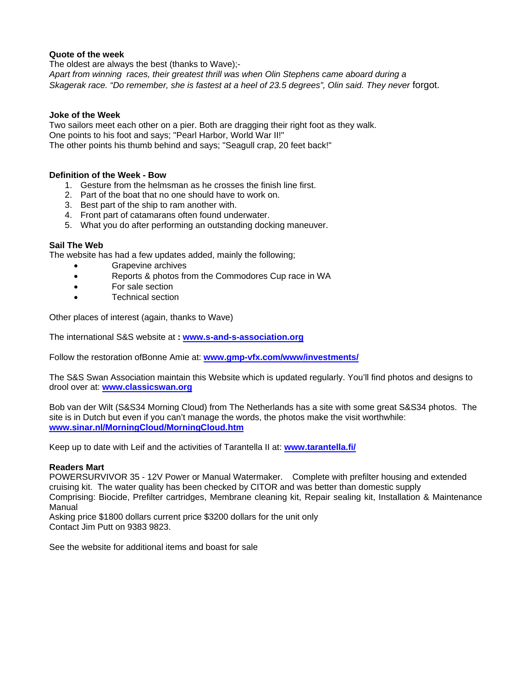# **Quote of the week**

The oldest are always the best (thanks to Wave);- *Apart from winning races, their greatest thrill was when Olin Stephens came aboard during a Skagerak race. "Do remember, she is fastest at a heel of 23.5 degrees", Olin said. They never* forgot.

# **Joke of the Week**

Two sailors meet each other on a pier. Both are dragging their right foot as they walk. One points to his foot and says; "Pearl Harbor, World War II!" The other points his thumb behind and says; "Seagull crap, 20 feet back!"

### **Definition of the Week - Bow**

- 1. Gesture from the helmsman as he crosses the finish line first.
- 2. Part of the boat that no one should have to work on.
- 3. Best part of the ship to ram another with.
- 4. Front part of catamarans often found underwater.
- 5. What you do after performing an outstanding docking maneuver.

#### **Sail The Web**

The website has had a few updates added, mainly the following;

- Grapevine archives
- Reports & photos from the Commodores Cup race in WA
- For sale section
- Technical section

Other places of interest (again, thanks to Wave)

The international S&S website at **: www.s-and-s-association.org**

Follow the restoration ofBonne Amie at: **www.gmp-vfx.com/www/investments/**

The S&S Swan Association maintain this Website which is updated regularly. You'll find photos and designs to drool over at: **www.classicswan.org**

Bob van der Wilt (S&S34 Morning Cloud) from The Netherlands has a site with some great S&S34 photos. The site is in Dutch but even if you can't manage the words, the photos make the visit worthwhile: **www.sinar.nl/MorningCloud/MorningCloud.htm**

Keep up to date with Leif and the activities of Tarantella II at: **www.tarantella.fi/**

#### **Readers Mart**

POWERSURVIVOR 35 - 12V Power or Manual Watermaker. Complete with prefilter housing and extended cruising kit. The water quality has been checked by CITOR and was better than domestic supply Comprising: Biocide, Prefilter cartridges, Membrane cleaning kit, Repair sealing kit, Installation & Maintenance Manual

Asking price \$1800 dollars current price \$3200 dollars for the unit only Contact Jim Putt on 9383 9823.

See the website for additional items and boast for sale